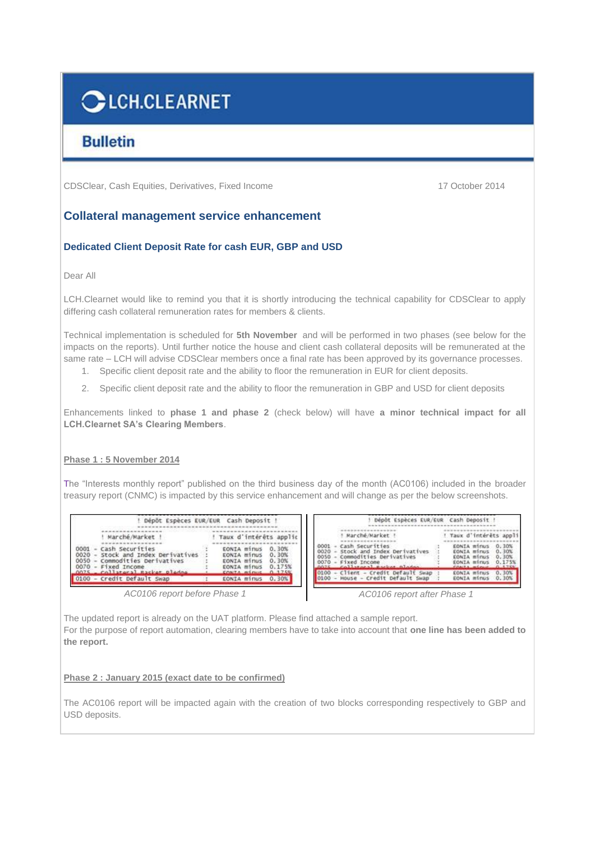# **CLCH.CLEARNET**

## **Bulletin**

CDSClear, Cash Equities, Derivatives, Fixed Income 17 October 2014

### **Collateral management service enhancement**

#### **Dedicated Client Deposit Rate for cash EUR, GBP and USD**

Dear All

LCH.Clearnet would like to remind you that it is shortly introducing the technical capability for CDSClear to apply differing cash collateral remuneration rates for members & clients.

Technical implementation is scheduled for **5th November** and will be performed in two phases (see below for the impacts on the reports). Until further notice the house and client cash collateral deposits will be remunerated at the same rate – LCH will advise CDSClear members once a final rate has been approved by its governance processes. 1. Specific client deposit rate and the ability to floor the remuneration in EUR for client deposits.

2. Specific client deposit rate and the ability to floor the remuneration in GBP and USD for client deposits

Enhancements linked to **phase 1 and phase 2** (check below) will have **a minor technical impact for all LCH.Clearnet SA's Clearing Members**.

#### **Phase 1 : 5 November 2014**

The "Interests monthly report" published on the third business day of the month (AC0106) included in the broader treasury report (CNMC) is impacted by this service enhancement and will change as per the below screenshots.

|                                                                                                                                                                           | Dépôt Espèces EUR/EUR Cash Deposit !                                                                                                          | Dépôt Espèces EUR/EUR Cash Deposit !                                                                                                                                                                              |                                                                                                                                                                |
|---------------------------------------------------------------------------------------------------------------------------------------------------------------------------|-----------------------------------------------------------------------------------------------------------------------------------------------|-------------------------------------------------------------------------------------------------------------------------------------------------------------------------------------------------------------------|----------------------------------------------------------------------------------------------------------------------------------------------------------------|
| Marché/Market!<br>0001 - Cash Securities<br>0020 - Stock and Index Derivatives<br>0050 - Commodities Derivatives<br>0070 - Fixed Income<br>0075 - collegest packet plados | Taux d'intérêts applic<br>0.30%<br>EONIA minus<br>0.30%<br>EONIA minus<br>0.30%<br>EONIA minus<br>0.175%<br>EONIA minus<br>CONTA minus 0 175% | Marché/Market !<br>Cash Securities<br>0001<br>Stock and Index Derivatives<br>0020<br>Commodities Derivatives<br>0050<br>- Fixed Income<br>0070<br>callatoral Rackat Aladan<br>0100 - Client - Credit Default Swap | ! Taux d'intérêts appli<br>EONIA minus<br>0.30%<br>0.30%<br>EONTA minus<br>0.30%<br>EONIA minus<br>0.175%<br><b>EONIA minus</b><br>0.30%<br><b>CONIA minus</b> |
| 0100 - Credit Default Swap                                                                                                                                                | EONIA minus<br>0.30%                                                                                                                          | 0100 - House - Credit Default Swap                                                                                                                                                                                | 0.30%<br>EONIA minus                                                                                                                                           |

*AC0106 report before Phase 1 AC0106 report after Phase 1*

The updated report is already on the UAT platform. Please find attached a sample report. For the purpose of report automation, clearing members have to take into account that **one line has been added to the report.**

#### **Phase 2 : January 2015 (exact date to be confirmed)**

The AC0106 report will be impacted again with the creation of two blocks corresponding respectively to GBP and USD deposits.